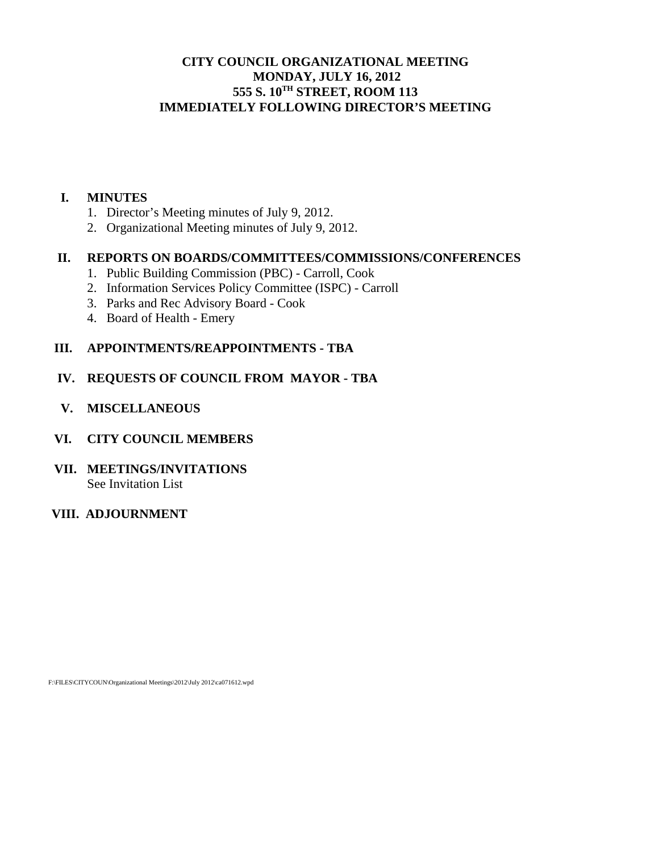# **CITY COUNCIL ORGANIZATIONAL MEETING MONDAY, JULY 16, 2012 555 S. 10TH STREET, ROOM 113 IMMEDIATELY FOLLOWING DIRECTOR'S MEETING**

#### **I. MINUTES**

- 1. Director's Meeting minutes of July 9, 2012.
- 2. Organizational Meeting minutes of July 9, 2012.

# **II. REPORTS ON BOARDS/COMMITTEES/COMMISSIONS/CONFERENCES**

- 1. Public Building Commission (PBC) Carroll, Cook
- 2. Information Services Policy Committee (ISPC) Carroll
- 3. Parks and Rec Advisory Board Cook
- 4. Board of Health Emery

# **III. APPOINTMENTS/REAPPOINTMENTS - TBA**

- **IV. REQUESTS OF COUNCIL FROM MAYOR TBA**
- **V. MISCELLANEOUS**
- **VI. CITY COUNCIL MEMBERS**
- **VII. MEETINGS/INVITATIONS**  See Invitation List
- **VIII. ADJOURNMENT**

F:\FILES\CITYCOUN\Organizational Meetings\2012\July 2012\ca071612.wpd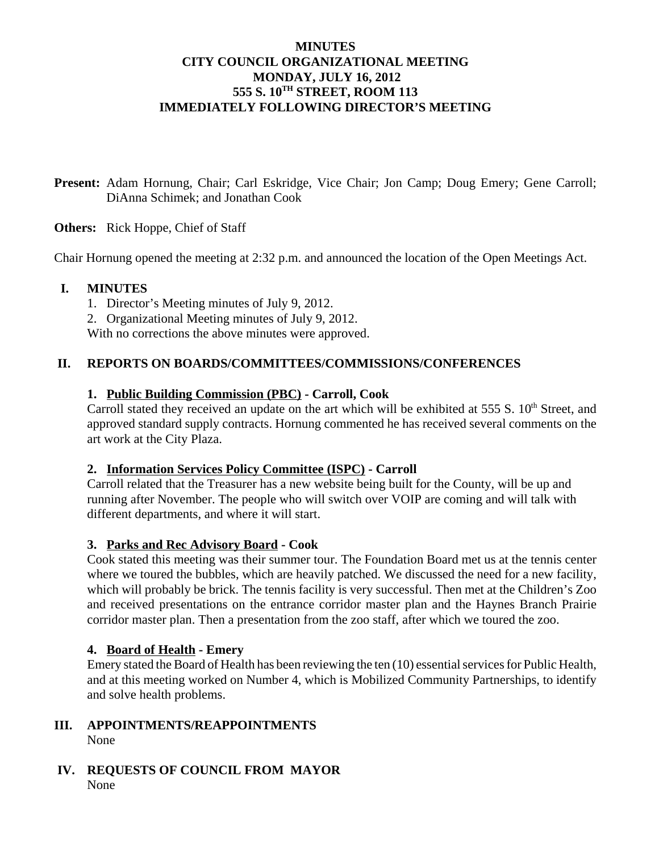# **MINUTES CITY COUNCIL ORGANIZATIONAL MEETING MONDAY, JULY 16, 2012 555 S. 10TH STREET, ROOM 113 IMMEDIATELY FOLLOWING DIRECTOR'S MEETING**

**Present:** Adam Hornung, Chair; Carl Eskridge, Vice Chair; Jon Camp; Doug Emery; Gene Carroll; DiAnna Schimek; and Jonathan Cook

**Others:** Rick Hoppe, Chief of Staff

Chair Hornung opened the meeting at 2:32 p.m. and announced the location of the Open Meetings Act.

## **I. MINUTES**

- 1. Director's Meeting minutes of July 9, 2012.
- 2. Organizational Meeting minutes of July 9, 2012.

With no corrections the above minutes were approved.

## **II. REPORTS ON BOARDS/COMMITTEES/COMMISSIONS/CONFERENCES**

# **1. Public Building Commission (PBC) - Carroll, Cook**

Carroll stated they received an update on the art which will be exhibited at  $555 S$ .  $10<sup>th</sup>$  Street, and approved standard supply contracts. Hornung commented he has received several comments on the art work at the City Plaza.

#### **2. Information Services Policy Committee (ISPC) - Carroll**

Carroll related that the Treasurer has a new website being built for the County, will be up and running after November. The people who will switch over VOIP are coming and will talk with different departments, and where it will start.

#### **3. Parks and Rec Advisory Board - Cook**

Cook stated this meeting was their summer tour. The Foundation Board met us at the tennis center where we toured the bubbles, which are heavily patched. We discussed the need for a new facility, which will probably be brick. The tennis facility is very successful. Then met at the Children's Zoo and received presentations on the entrance corridor master plan and the Haynes Branch Prairie corridor master plan. Then a presentation from the zoo staff, after which we toured the zoo.

#### **4. Board of Health - Emery**

Emery stated the Board of Health has been reviewing the ten (10) essential services for Public Health, and at this meeting worked on Number 4, which is Mobilized Community Partnerships, to identify and solve health problems.

- **III. APPOINTMENTS/REAPPOINTMENTS**  None
- **IV. REQUESTS OF COUNCIL FROM MAYOR** None